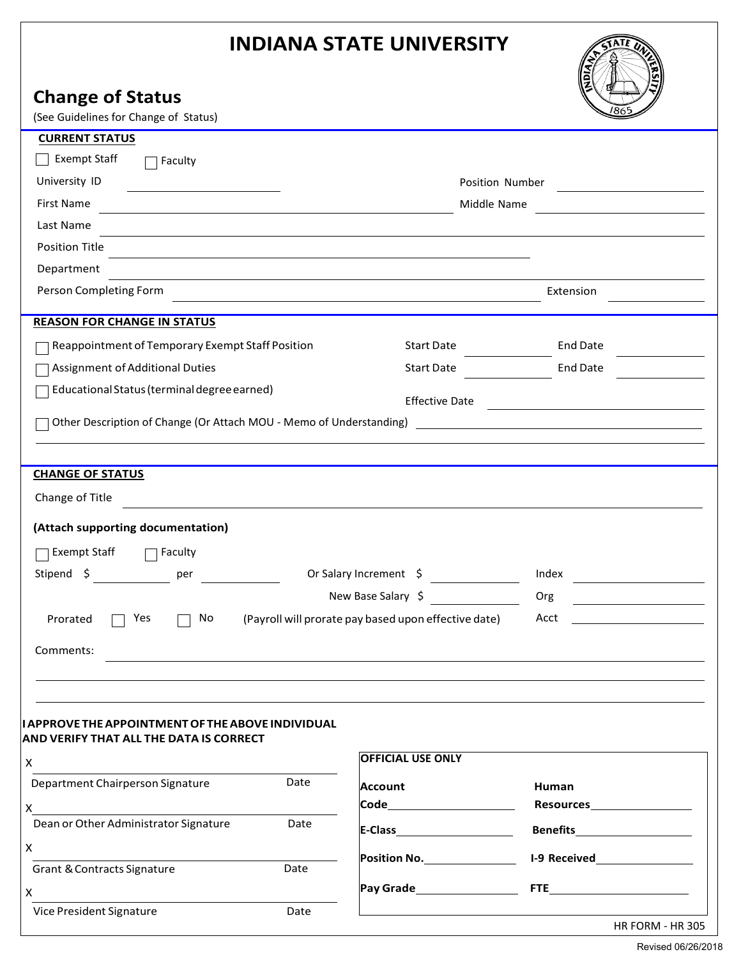# **INDIANA STATE UNIVERSITY**

X

X

Grant & Contracts Signature Date

Vice President Signature **Date** Date

|                                                                                                                                    | <b>INDIANA STATE UNIVERSITY</b>                                                                                  |                                                    |
|------------------------------------------------------------------------------------------------------------------------------------|------------------------------------------------------------------------------------------------------------------|----------------------------------------------------|
| <b>Change of Status</b>                                                                                                            |                                                                                                                  |                                                    |
| (See Guidelines for Change of Status)                                                                                              |                                                                                                                  |                                                    |
| <b>CURRENT STATUS</b>                                                                                                              |                                                                                                                  |                                                    |
| Exempt Staff<br>$\Box$ Faculty                                                                                                     |                                                                                                                  |                                                    |
| University ID<br><u> 1980 - Johann Barbara, martin a</u>                                                                           | Position Number                                                                                                  |                                                    |
| First Name<br>the control of the control of the control of the control of the control of the control of                            | Middle Name<br><u> 1980 - Johann Barbara, martxa alemaniar a</u>                                                 |                                                    |
| Last Name<br>and the control of the control of the control of the control of the control of the control of the control of the      |                                                                                                                  |                                                    |
| Position Title<br>and the control of the control of the control of the control of the control of the control of the control of the |                                                                                                                  |                                                    |
| Department                                                                                                                         |                                                                                                                  |                                                    |
| Person Completing Form                                                                                                             | and the control of the control of the control of the control of the control of the control of the control of the | Extension                                          |
| <b>REASON FOR CHANGE IN STATUS</b>                                                                                                 |                                                                                                                  |                                                    |
| Reappointment of Temporary Exempt Staff Position                                                                                   | Start Date                                                                                                       | <b>End Date</b>                                    |
| Assignment of Additional Duties                                                                                                    | Start Date                                                                                                       | End Date                                           |
| Educational Status (terminal degree earned)                                                                                        |                                                                                                                  | Effective Date                                     |
| Other Description of Change (Or Attach MOU - Memo of Understanding) [1988] [2012] [2012] [2012] [2012] [2012] [                    |                                                                                                                  |                                                    |
|                                                                                                                                    |                                                                                                                  |                                                    |
|                                                                                                                                    |                                                                                                                  |                                                    |
| <b>CHANGE OF STATUS</b>                                                                                                            |                                                                                                                  |                                                    |
| Change of Title                                                                                                                    | and the control of the control of the control of the control of the control of the control of the control of the |                                                    |
| (Attach supporting documentation)                                                                                                  |                                                                                                                  |                                                    |
| Exempt Staff<br>Faculty                                                                                                            |                                                                                                                  |                                                    |
| Stipend \$<br>Or Salary Increment \$<br>per                                                                                        |                                                                                                                  | Index                                              |
|                                                                                                                                    | New Base Salary \$                                                                                               | Org<br><u> 1989 - Johann Barn, mars ann an t-A</u> |
| Yes<br>No<br>Prorated                                                                                                              | (Payroll will prorate pay based upon effective date)                                                             | Acct                                               |
|                                                                                                                                    |                                                                                                                  |                                                    |
| Comments:                                                                                                                          |                                                                                                                  |                                                    |
|                                                                                                                                    |                                                                                                                  |                                                    |
|                                                                                                                                    |                                                                                                                  |                                                    |
| I APPROVE THE APPOINTMENT OF THE ABOVE INDIVIDUAL<br>AND VERIFY THAT ALL THE DATA IS CORRECT                                       |                                                                                                                  |                                                    |
| X                                                                                                                                  | <b>OFFICIAL USE ONLY</b>                                                                                         |                                                    |
| Date<br>Department Chairperson Signature                                                                                           | Account                                                                                                          | Human                                              |
| X                                                                                                                                  | Code <b>Code</b>                                                                                                 | Resources <b>contracts</b>                         |
| Dean or Other Administrator Signature<br>Date                                                                                      |                                                                                                                  |                                                    |

| E-Class      | <b>Benefits</b>     |
|--------------|---------------------|
| Position No. | <b>I-9 Received</b> |
| Pay Grade    | <b>FTE</b>          |